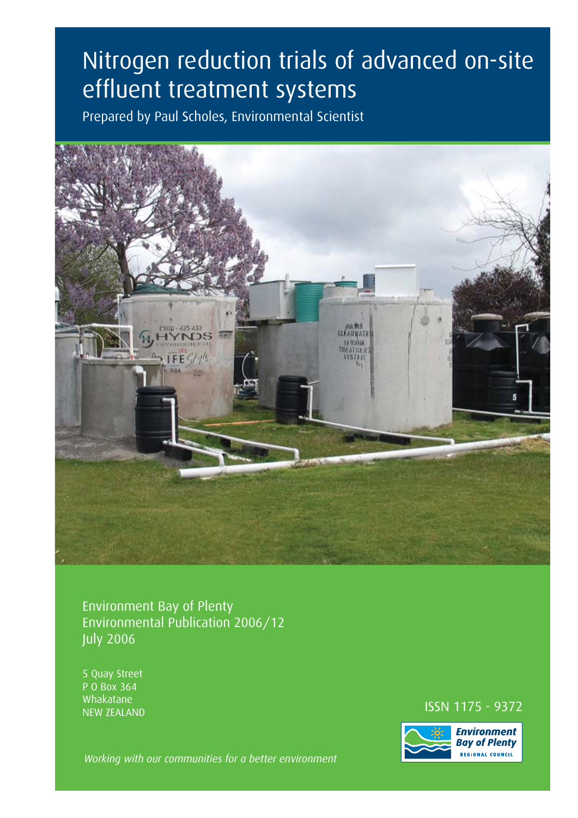# Nitrogen reduction trials of advanced on-site effluent treatment systems

Prepared by Paul Scholes, Environmental Scientist



Environment Bay of Plenty Environmental Publication 2006/12 July 2006

5 Quay Street P O Box 364 Whakatane

### NEW ZEALAND **ISSN 1175 - 9372**<br>NEW ZEALAND



*Working with our communities for a better environment*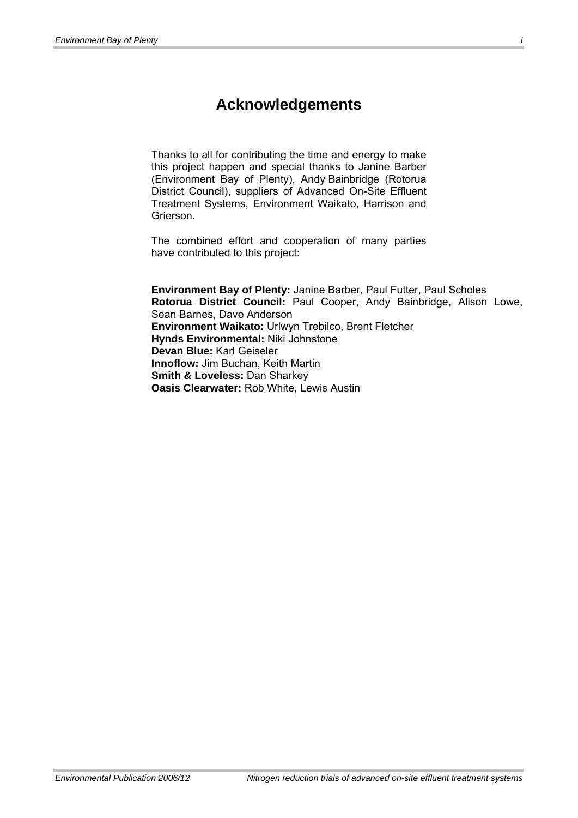### **Acknowledgements**

Thanks to all for contributing the time and energy to make this project happen and special thanks to Janine Barber (Environment Bay of Plenty), Andy Bainbridge (Rotorua District Council), suppliers of Advanced On-Site Effluent Treatment Systems, Environment Waikato, Harrison and Grierson.

The combined effort and cooperation of many parties have contributed to this project:

**Environment Bay of Plenty:** Janine Barber, Paul Futter, Paul Scholes **Rotorua District Council:** Paul Cooper, Andy Bainbridge, Alison Lowe, Sean Barnes, Dave Anderson **Environment Waikato:** Urlwyn Trebilco, Brent Fletcher **Hynds Environmental:** Niki Johnstone **Devan Blue:** Karl Geiseler **Innoflow:** Jim Buchan, Keith Martin **Smith & Loveless:** Dan Sharkey **Oasis Clearwater:** Rob White, Lewis Austin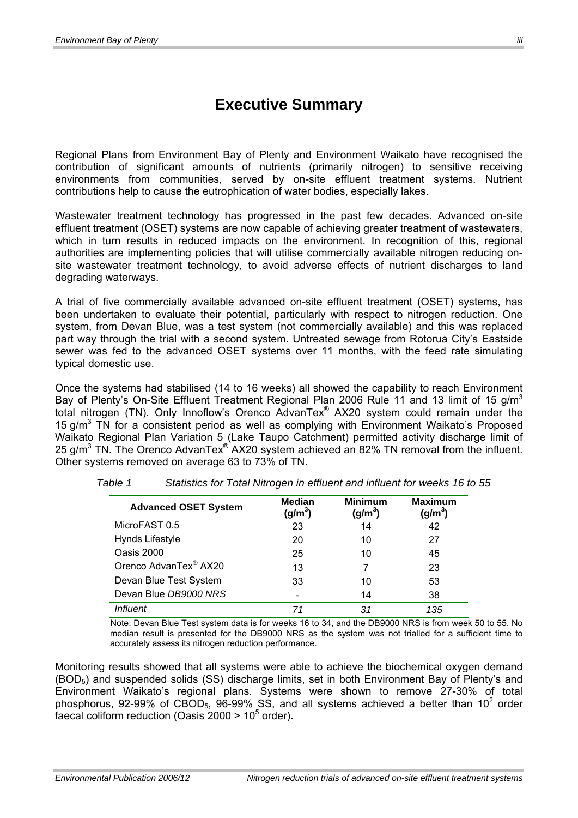### **Executive Summary**

Regional Plans from Environment Bay of Plenty and Environment Waikato have recognised the contribution of significant amounts of nutrients (primarily nitrogen) to sensitive receiving environments from communities, served by on-site effluent treatment systems. Nutrient contributions help to cause the eutrophication of water bodies, especially lakes.

Wastewater treatment technology has progressed in the past few decades. Advanced on-site effluent treatment (OSET) systems are now capable of achieving greater treatment of wastewaters, which in turn results in reduced impacts on the environment. In recognition of this, regional authorities are implementing policies that will utilise commercially available nitrogen reducing onsite wastewater treatment technology, to avoid adverse effects of nutrient discharges to land degrading waterways.

A trial of five commercially available advanced on-site effluent treatment (OSET) systems, has been undertaken to evaluate their potential, particularly with respect to nitrogen reduction. One system, from Devan Blue, was a test system (not commercially available) and this was replaced part way through the trial with a second system. Untreated sewage from Rotorua City's Eastside sewer was fed to the advanced OSET systems over 11 months, with the feed rate simulating typical domestic use.

Once the systems had stabilised (14 to 16 weeks) all showed the capability to reach Environment Bay of Plenty's On-Site Effluent Treatment Regional Plan 2006 Rule 11 and 13 limit of 15 g/m<sup>3</sup> total nitrogen (TN). Only Innoflow's Orenco AdvanTex® AX20 system could remain under the 15  $g/m<sup>3</sup>$  TN for a consistent period as well as complying with Environment Waikato's Proposed Waikato Regional Plan Variation 5 (Lake Taupo Catchment) permitted activity discharge limit of 25 g/m<sup>3</sup> TN. The Orenco AdvanTex® AX20 system achieved an 82% TN removal from the influent. Other systems removed on average 63 to 73% of TN.

| <b>Advanced OSET System</b>       | <b>Median</b><br>(g/m $^3$ ) | <b>Minimum</b><br>(g/m <sup>3</sup> ) | <b>Maximum</b><br>(g/m $^3$ ) |
|-----------------------------------|------------------------------|---------------------------------------|-------------------------------|
| MicroFAST 0.5                     | 23                           | 14                                    | 42                            |
| Hynds Lifestyle                   | 20                           | 10                                    | 27                            |
| Oasis 2000                        | 25                           | 10                                    | 45                            |
| Orenco AdvanTex <sup>®</sup> AX20 | 13                           |                                       | 23                            |
| Devan Blue Test System            | 33                           | 10                                    | 53                            |
| Devan Blue DB9000 NRS             |                              | 14                                    | 38                            |
| Influent                          | 71                           | 31                                    | 135                           |

*Table 1 Statistics for Total Nitrogen in effluent and influent for weeks 16 to 55* 

Note: Devan Blue Test system data is for weeks 16 to 34, and the DB9000 NRS is from week 50 to 55. No median result is presented for the DB9000 NRS as the system was not trialled for a sufficient time to accurately assess its nitrogen reduction performance.

Monitoring results showed that all systems were able to achieve the biochemical oxygen demand (BOD5) and suspended solids (SS) discharge limits, set in both Environment Bay of Plenty's and Environment Waikato's regional plans. Systems were shown to remove 27-30% of total phosphorus, 92-99% of CBOD<sub>5</sub>, 96-99% SS, and all systems achieved a better than 10<sup>2</sup> order faecal coliform reduction (Oasis 2000 >  $10^5$  order).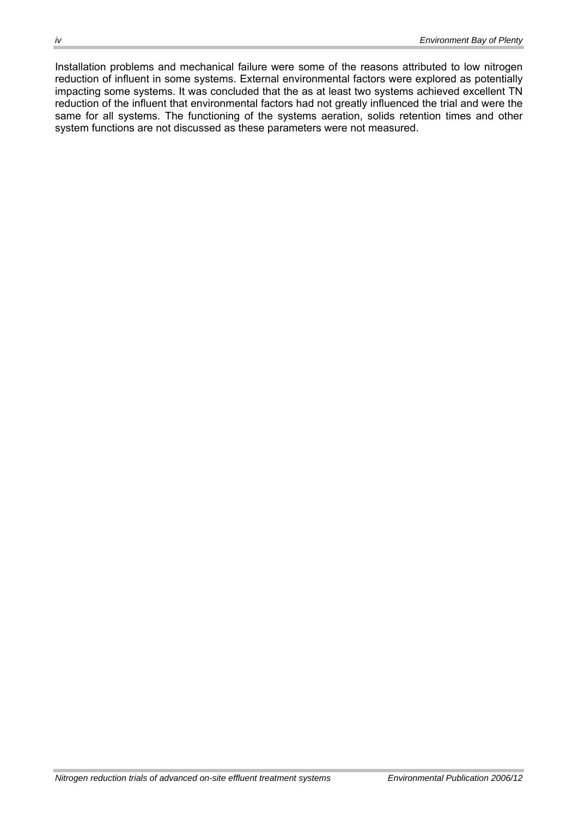Installation problems and mechanical failure were some of the reasons attributed to low nitrogen reduction of influent in some systems. External environmental factors were explored as potentially impacting some systems. It was concluded that the as at least two systems achieved excellent TN reduction of the influent that environmental factors had not greatly influenced the trial and were the same for all systems. The functioning of the systems aeration, solids retention times and other system functions are not discussed as these parameters were not measured.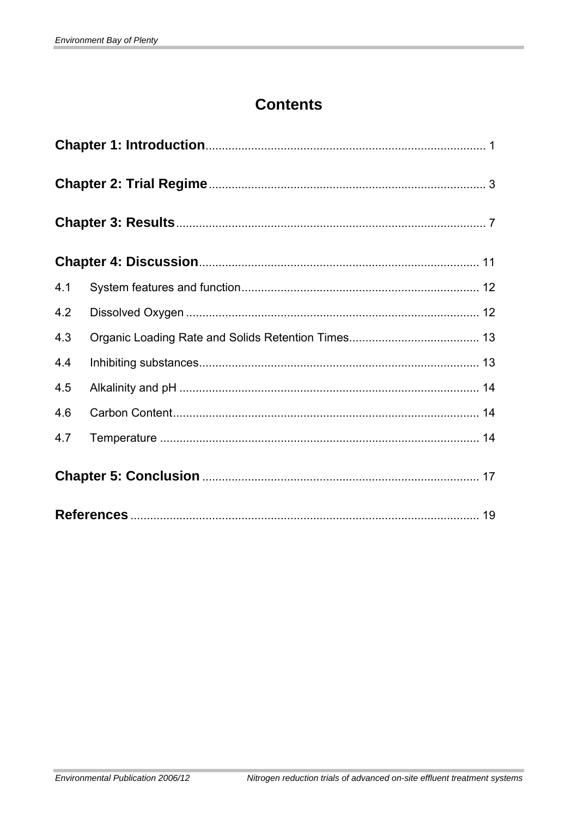### **Contents**

| 4.1 |  |  |  |  |  |  |  |  |
|-----|--|--|--|--|--|--|--|--|
| 4.2 |  |  |  |  |  |  |  |  |
| 4.3 |  |  |  |  |  |  |  |  |
| 4.4 |  |  |  |  |  |  |  |  |
| 4.5 |  |  |  |  |  |  |  |  |
| 4.6 |  |  |  |  |  |  |  |  |
| 4.7 |  |  |  |  |  |  |  |  |
|     |  |  |  |  |  |  |  |  |
|     |  |  |  |  |  |  |  |  |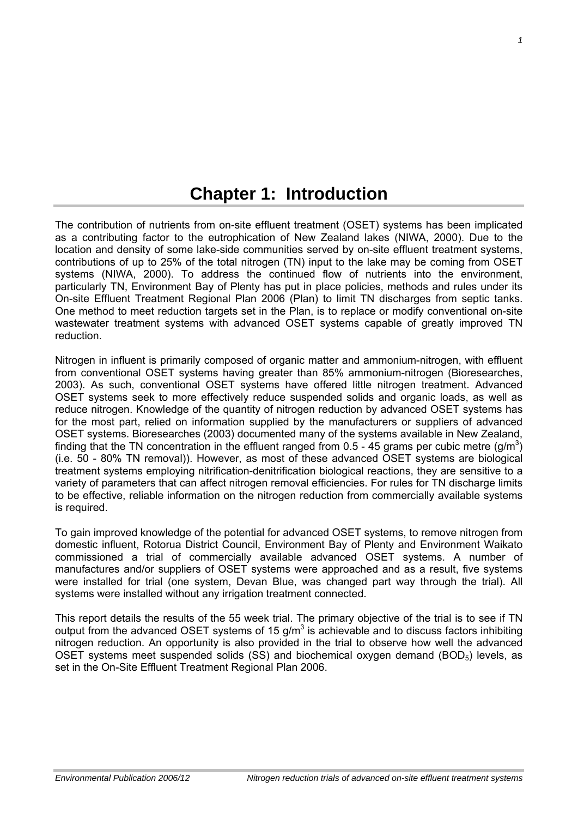## **Chapter 1: Introduction**

<span id="page-7-0"></span>The contribution of nutrients from on-site effluent treatment (OSET) systems has been implicated as a contributing factor to the eutrophication of New Zealand lakes (NIWA, 2000). Due to the location and density of some lake-side communities served by on-site effluent treatment systems, contributions of up to 25% of the total nitrogen (TN) input to the lake may be coming from OSET systems (NIWA, 2000). To address the continued flow of nutrients into the environment, particularly TN, Environment Bay of Plenty has put in place policies, methods and rules under its On-site Effluent Treatment Regional Plan 2006 (Plan) to limit TN discharges from septic tanks. One method to meet reduction targets set in the Plan, is to replace or modify conventional on-site wastewater treatment systems with advanced OSET systems capable of greatly improved TN reduction.

Nitrogen in influent is primarily composed of organic matter and ammonium-nitrogen, with effluent from conventional OSET systems having greater than 85% ammonium-nitrogen (Bioresearches, 2003). As such, conventional OSET systems have offered little nitrogen treatment. Advanced OSET systems seek to more effectively reduce suspended solids and organic loads, as well as reduce nitrogen. Knowledge of the quantity of nitrogen reduction by advanced OSET systems has for the most part, relied on information supplied by the manufacturers or suppliers of advanced OSET systems. Bioresearches (2003) documented many of the systems available in New Zealand, finding that the TN concentration in the effluent ranged from 0.5 - 45 grams per cubic metre (g/m<sup>3</sup>) (i.e. 50 - 80% TN removal)). However, as most of these advanced OSET systems are biological treatment systems employing nitrification-denitrification biological reactions, they are sensitive to a variety of parameters that can affect nitrogen removal efficiencies. For rules for TN discharge limits to be effective, reliable information on the nitrogen reduction from commercially available systems is required.

To gain improved knowledge of the potential for advanced OSET systems, to remove nitrogen from domestic influent, Rotorua District Council, Environment Bay of Plenty and Environment Waikato commissioned a trial of commercially available advanced OSET systems. A number of manufactures and/or suppliers of OSET systems were approached and as a result, five systems were installed for trial (one system, Devan Blue, was changed part way through the trial). All systems were installed without any irrigation treatment connected.

This report details the results of the 55 week trial. The primary objective of the trial is to see if TN output from the advanced OSET systems of 15  $g/m<sup>3</sup>$  is achievable and to discuss factors inhibiting nitrogen reduction. An opportunity is also provided in the trial to observe how well the advanced OSET systems meet suspended solids (SS) and biochemical oxygen demand (BOD $_5$ ) levels, as set in the On-Site Effluent Treatment Regional Plan 2006.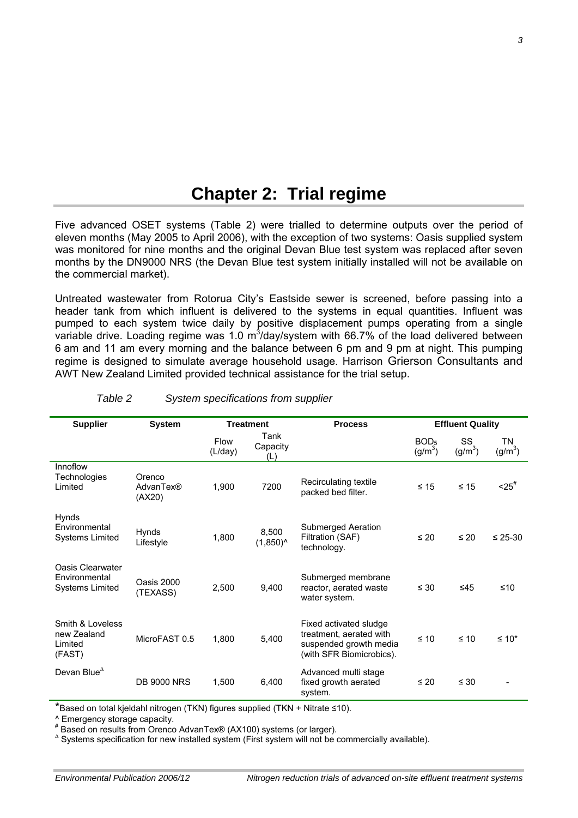### **Chapter 2: Trial regime**

<span id="page-9-0"></span>Five advanced OSET systems (Table 2) were trialled to determine outputs over the period of eleven months (May 2005 to April 2006), with the exception of two systems: Oasis supplied system was monitored for nine months and the original Devan Blue test system was replaced after seven months by the DN9000 NRS (the Devan Blue test system initially installed will not be available on the commercial market).

Untreated wastewater from Rotorua City's Eastside sewer is screened, before passing into a header tank from which influent is delivered to the systems in equal quantities. Influent was pumped to each system twice daily by positive displacement pumps operating from a single variable drive. Loading regime was 1.0 m<sup>3</sup>/day/system with 66.7% of the load delivered between 6 am and 11 am every morning and the balance between 6 pm and 9 pm at night. This pumping regime is designed to simulate average household usage. Harrison Grierson Consultants and AWT New Zealand Limited provided technical assistance for the trial setup.

| <b>Supplier</b>                                             | <b>System</b>                 | <b>Treatment</b>       |                         | <b>Process</b>                                                                                          |                                 | <b>Effluent Quality</b> |                           |
|-------------------------------------------------------------|-------------------------------|------------------------|-------------------------|---------------------------------------------------------------------------------------------------------|---------------------------------|-------------------------|---------------------------|
|                                                             |                               | <b>Flow</b><br>(L/day) | Tank<br>Capacity<br>(L) |                                                                                                         | BOD <sub>5</sub><br>$(g/m^{3})$ | SS<br>$(g/m^3)$         | ΤN<br>(g/m <sup>3</sup> ) |
| Innoflow<br>Technologies<br>Limited                         | Orenco<br>AdvanTex®<br>(AX20) | 1,900                  | 7200                    | Recirculating textile<br>packed bed filter.                                                             | $\leq 15$                       | $\leq 15$               | $-25^{\#}$                |
| Hynds<br>Environmental<br><b>Systems Limited</b>            | Hynds<br>Lifestyle            | 1,800                  | 8,500<br>$(1,850)^{A}$  | Submerged Aeration<br>Filtration (SAF)<br>technology.                                                   | $\leq 20$                       | $\leq 20$               | $\leq$ 25-30              |
| Oasis Clearwater<br>Environmental<br><b>Systems Limited</b> | Oasis 2000<br>(TEXASS)        | 2,500                  | 9,400                   | Submerged membrane<br>reactor, aerated waste<br>water system.                                           | $\leq 30$                       | ≤45                     | $≤10$                     |
| Smith & Loveless<br>new Zealand<br>Limited<br>(FAST)        | MicroFAST 0.5                 | 1,800                  | 5,400                   | Fixed activated sludge<br>treatment, aerated with<br>suspended growth media<br>(with SFR Biomicrobics). | $\leq 10$                       | $\leq 10$               | $\leq 10^*$               |
| Devan Blue $^{\Delta}$                                      | <b>DB 9000 NRS</b>            | 1,500                  | 6,400                   | Advanced multi stage<br>fixed growth aerated<br>system.                                                 | $\leq 20$                       | $\leq 30$               |                           |

#### *Table 2 System specifications from supplier*

\*Based on total kjeldahl nitrogen (TKN) figures supplied (TKN + Nitrate ≤10).

^ Emergency storage capacity.

# Based on results from Orenco AdvanTex® (AX100) systems (or larger). <sup>∆</sup>

 $^{\circ}$  Systems specification for new installed system (First system will not be commercially available).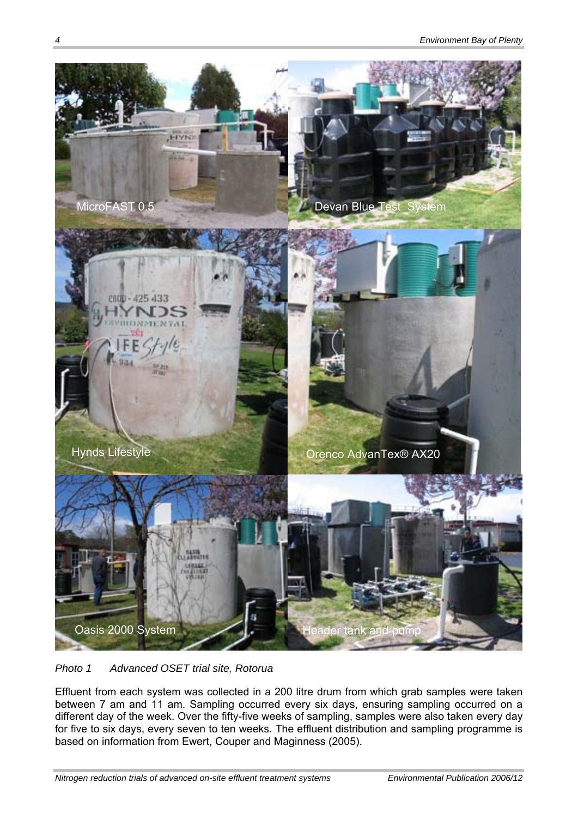

*Photo 1 Advanced OSET trial site, Rotorua* 

Effluent from each system was collected in a 200 litre drum from which grab samples were taken between 7 am and 11 am. Sampling occurred every six days, ensuring sampling occurred on a different day of the week. Over the fifty-five weeks of sampling, samples were also taken every day for five to six days, every seven to ten weeks. The effluent distribution and sampling programme is based on information from Ewert, Couper and Maginness (2005).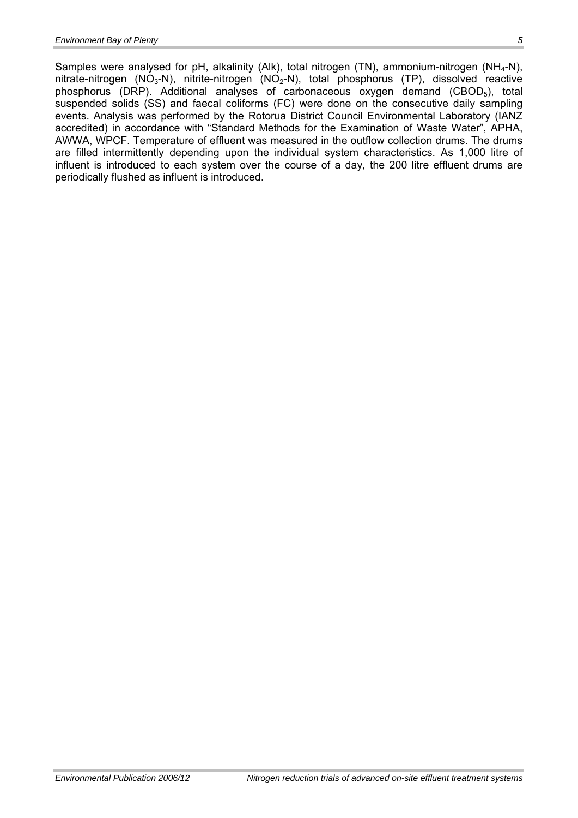Samples were analysed for pH, alkalinity (Alk), total nitrogen (TN), ammonium-nitrogen (NH<sub>4</sub>-N), nitrate-nitrogen (NO<sub>3</sub>-N), nitrite-nitrogen (NO<sub>2</sub>-N), total phosphorus (TP), dissolved reactive phosphorus (DRP). Additional analyses of carbonaceous oxygen demand (CBOD5), total suspended solids (SS) and faecal coliforms (FC) were done on the consecutive daily sampling events. Analysis was performed by the Rotorua District Council Environmental Laboratory (IANZ accredited) in accordance with "Standard Methods for the Examination of Waste Water", APHA, AWWA, WPCF. Temperature of effluent was measured in the outflow collection drums. The drums are filled intermittently depending upon the individual system characteristics. As 1,000 litre of influent is introduced to each system over the course of a day, the 200 litre effluent drums are periodically flushed as influent is introduced.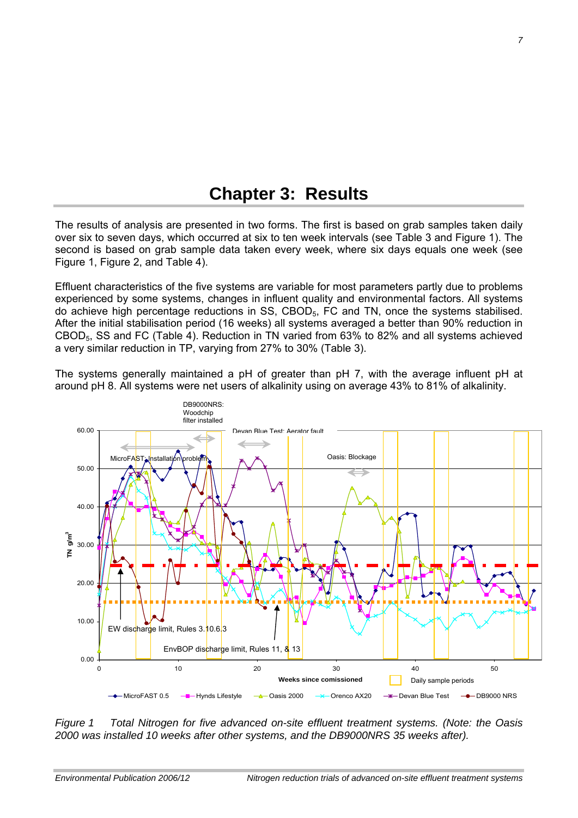### **Chapter 3: Results**

<span id="page-13-0"></span>The results of analysis are presented in two forms. The first is based on grab samples taken daily over six to seven days, which occurred at six to ten week intervals (see Table 3 and Figure 1). The second is based on grab sample data taken every week, where six days equals one week (see Figure 1, Figure 2, and Table 4).

Effluent characteristics of the five systems are variable for most parameters partly due to problems experienced by some systems, changes in influent quality and environmental factors. All systems do achieve high percentage reductions in SS, CBOD5, FC and TN, once the systems stabilised. After the initial stabilisation period (16 weeks) all systems averaged a better than 90% reduction in CBOD5, SS and FC (Table 4). Reduction in TN varied from 63% to 82% and all systems achieved a very similar reduction in TP, varying from 27% to 30% (Table 3).

The systems generally maintained a pH of greater than pH 7, with the average influent pH at around pH 8. All systems were net users of alkalinity using on average 43% to 81% of alkalinity.



*Figure 1 Total Nitrogen for five advanced on-site effluent treatment systems. (Note: the Oasis 2000 was installed 10 weeks after other systems, and the DB9000NRS 35 weeks after).*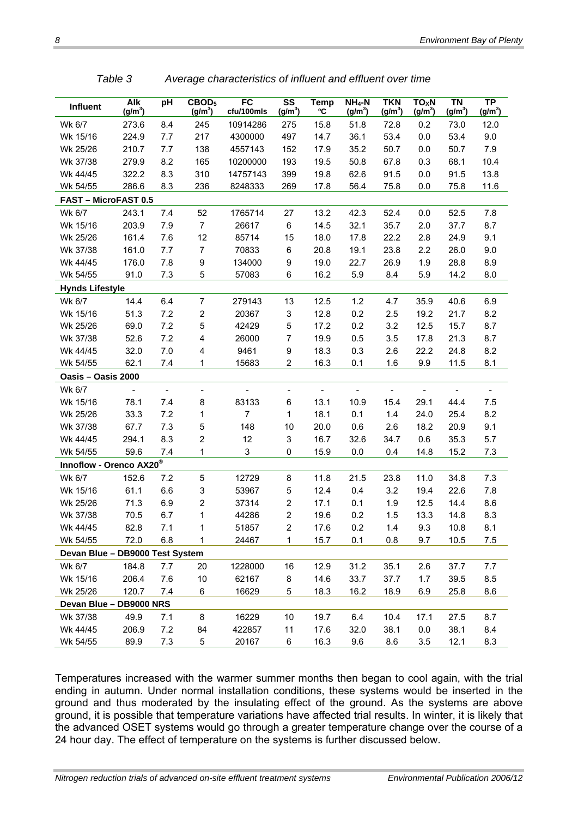| Influent                            | Alk<br>$(g/m^3)$         | pH             | CBOD <sub>5</sub><br>$(g/m^3)$ | FC<br>cfu/100mls | $\overline{\text{ss}}$<br>$(g/m^3)$ | <b>Temp</b><br>٥C        | $NH_4-N$<br>$(g/m^3)$    | <b>TKN</b><br>$(g/m^3)$ | TO <sub>X</sub> N<br>$(g/m^3)$ | <b>TN</b><br>$(g/m^3)$   | $\overline{\text{TP}}$<br>$(g/m^3)$ |
|-------------------------------------|--------------------------|----------------|--------------------------------|------------------|-------------------------------------|--------------------------|--------------------------|-------------------------|--------------------------------|--------------------------|-------------------------------------|
| Wk 6/7                              | 273.6                    | 8.4            | 245                            | 10914286         | 275                                 | 15.8                     | 51.8                     | 72.8                    | 0.2                            | 73.0                     | 12.0                                |
| Wk 15/16                            | 224.9                    | 7.7            | 217                            | 4300000          | 497                                 | 14.7                     | 36.1                     | 53.4                    | 0.0                            | 53.4                     | 9.0                                 |
| Wk 25/26                            | 210.7                    | 7.7            | 138                            | 4557143          | 152                                 | 17.9                     | 35.2                     | 50.7                    | 0.0                            | 50.7                     | 7.9                                 |
| Wk 37/38                            | 279.9                    | 8.2            | 165                            | 10200000         | 193                                 | 19.5                     | 50.8                     | 67.8                    | 0.3                            | 68.1                     | 10.4                                |
| Wk 44/45                            | 322.2                    | 8.3            | 310                            | 14757143         | 399                                 | 19.8                     | 62.6                     | 91.5                    | 0.0                            | 91.5                     | 13.8                                |
| Wk 54/55                            | 286.6                    | 8.3            | 236                            | 8248333          | 269                                 | 17.8                     | 56.4                     | 75.8                    | 0.0                            | 75.8                     | 11.6                                |
| FAST - MicroFAST 0.5                |                          |                |                                |                  |                                     |                          |                          |                         |                                |                          |                                     |
| Wk 6/7                              | 243.1                    | 7.4            | 52                             | 1765714          | 27                                  | 13.2                     | 42.3                     | 52.4                    | 0.0                            | 52.5                     | 7.8                                 |
| Wk 15/16                            | 203.9                    | 7.9            | $\overline{7}$                 | 26617            | 6                                   | 14.5                     | 32.1                     | 35.7                    | 2.0                            | 37.7                     | 8.7                                 |
| Wk 25/26                            | 161.4                    | 7.6            | 12                             | 85714            | 15                                  | 18.0                     | 17.8                     | 22.2                    | 2.8                            | 24.9                     | 9.1                                 |
| Wk 37/38                            | 161.0                    | 7.7            | $\overline{7}$                 | 70833            | 6                                   | 20.8                     | 19.1                     | 23.8                    | 2.2                            | 26.0                     | 9.0                                 |
| Wk 44/45                            | 176.0                    | 7.8            | 9                              | 134000           | $\boldsymbol{9}$                    | 19.0                     | 22.7                     | 26.9                    | 1.9                            | 28.8                     | 8.9                                 |
| Wk 54/55                            | 91.0                     | 7.3            | 5                              | 57083            | 6                                   | 16.2                     | 5.9                      | 8.4                     | 5.9                            | 14.2                     | 8.0                                 |
| <b>Hynds Lifestyle</b>              |                          |                |                                |                  |                                     |                          |                          |                         |                                |                          |                                     |
| Wk 6/7                              | 14.4                     | 6.4            | $\overline{7}$                 | 279143           | 13                                  | 12.5                     | 1.2                      | 4.7                     | 35.9                           | 40.6                     | 6.9                                 |
| Wk 15/16                            | 51.3                     | 7.2            | $\overline{c}$                 | 20367            | 3                                   | 12.8                     | 0.2                      | 2.5                     | 19.2                           | 21.7                     | 8.2                                 |
| Wk 25/26                            | 69.0                     | 7.2            | 5                              | 42429            | 5                                   | 17.2                     | 0.2                      | 3.2                     | 12.5                           | 15.7                     | 8.7                                 |
| Wk 37/38                            | 52.6                     | 7.2            | 4                              | 26000            | $\overline{7}$                      | 19.9                     | 0.5                      | 3.5                     | 17.8                           | 21.3                     | 8.7                                 |
| Wk 44/45                            | 32.0                     | $7.0$          | 4                              | 9461             | 9                                   | 18.3                     | 0.3                      | 2.6                     | 22.2                           | 24.8                     | 8.2                                 |
| Wk 54/55                            | 62.1                     | 7.4            | 1                              | 15683            | $\overline{c}$                      | 16.3                     | 0.1                      | 1.6                     | 9.9                            | 11.5                     | 8.1                                 |
| Oasis - Oasis 2000                  |                          |                |                                |                  |                                     |                          |                          |                         |                                |                          |                                     |
| Wk 6/7                              | $\overline{\phantom{0}}$ | $\blacksquare$ | $\overline{\phantom{a}}$       | $\frac{1}{2}$    | $\overline{\phantom{a}}$            | $\overline{\phantom{a}}$ | $\overline{\phantom{a}}$ | $\blacksquare$          | $\overline{\phantom{a}}$       | $\overline{\phantom{a}}$ | $\overline{\phantom{a}}$            |
| Wk 15/16                            | 78.1                     | 7.4            | 8                              | 83133            | 6                                   | 13.1                     | 10.9                     | 15.4                    | 29.1                           | 44.4                     | 7.5                                 |
| Wk 25/26                            | 33.3                     | 7.2            | 1                              | $\overline{7}$   | 1                                   | 18.1                     | 0.1                      | 1.4                     | 24.0                           | 25.4                     | 8.2                                 |
| Wk 37/38                            | 67.7                     | 7.3            | 5                              | 148              | 10                                  | 20.0                     | 0.6                      | 2.6                     | 18.2                           | 20.9                     | 9.1                                 |
| Wk 44/45                            | 294.1                    | 8.3            | $\overline{c}$                 | 12               | 3                                   | 16.7                     | 32.6                     | 34.7                    | 0.6                            | 35.3                     | 5.7                                 |
| Wk 54/55                            | 59.6                     | 7.4            | 1                              | 3                | 0                                   | 15.9                     | 0.0                      | 0.4                     | 14.8                           | 15.2                     | 7.3                                 |
| Innoflow - Orenco AX20 <sup>®</sup> |                          |                |                                |                  |                                     |                          |                          |                         |                                |                          |                                     |
| Wk 6/7                              | 152.6                    | 7.2            | 5                              | 12729            | 8                                   | 11.8                     | 21.5                     | 23.8                    | 11.0                           | 34.8                     | 7.3                                 |
| Wk 15/16                            | 61.1                     | 6.6            | 3                              | 53967            | 5                                   | 12.4                     | 0.4                      | 3.2                     | 19.4                           | 22.6                     | 7.8                                 |
| Wk 25/26                            | 71.3                     | 6.9            | $\overline{c}$                 | 37314            | $\boldsymbol{2}$                    | 17.1                     | 0.1                      | 1.9                     | 12.5                           | 14.4                     | 8.6                                 |
| Wk 37/38                            | 70.5                     | 6.7            | 1                              | 44286            | $\overline{2}$                      | 19.6                     | 0.2                      | 1.5                     | 13.3                           | 14.8                     | 8.3                                 |
| Wk 44/45                            | 82.8                     | 7.1            | 1                              | 51857            | $\overline{c}$                      | 17.6                     | 0.2                      | 1.4                     | 9.3                            | 10.8                     | 8.1                                 |
| Wk 54/55                            | 72.0                     | 6.8            | 1                              | 24467            | 1                                   | 15.7                     | 0.1                      | 0.8                     | 9.7                            | 10.5                     | 7.5                                 |
| Devan Blue - DB9000 Test System     |                          |                |                                |                  |                                     |                          |                          |                         |                                |                          |                                     |
| Wk 6/7                              | 184.8                    | 7.7            | 20                             | 1228000          | 16                                  | 12.9                     | 31.2                     | 35.1                    | 2.6                            | 37.7                     | 7.7                                 |
| Wk 15/16                            | 206.4                    | 7.6            | 10                             | 62167            | 8                                   | 14.6                     | 33.7                     | 37.7                    | 1.7                            | 39.5                     | 8.5                                 |
| Wk 25/26                            | 120.7                    | 7.4            | 6                              | 16629            | 5                                   | 18.3                     | 16.2                     | 18.9                    | 6.9                            | 25.8                     | 8.6                                 |
| Devan Blue - DB9000 NRS             |                          |                |                                |                  |                                     |                          |                          |                         |                                |                          |                                     |
| Wk 37/38                            | 49.9                     | 7.1            | 8                              | 16229            | 10                                  | 19.7                     | 6.4                      | 10.4                    | 17.1                           | 27.5                     | 8.7                                 |
| Wk 44/45                            | 206.9                    | $7.2\,$        | 84                             | 422857           | 11                                  | 17.6                     | 32.0                     | 38.1                    | $0.0\,$                        | 38.1                     | 8.4                                 |
| Wk 54/55                            | 89.9                     | $7.3$          | 5                              | 20167            | 6                                   | 16.3                     | 9.6                      | 8.6                     | 3.5                            | 12.1                     | 8.3                                 |

*Table 3 Average characteristics of influent and effluent over time* 

Temperatures increased with the warmer summer months then began to cool again, with the trial ending in autumn. Under normal installation conditions, these systems would be inserted in the ground and thus moderated by the insulating effect of the ground. As the systems are above ground, it is possible that temperature variations have affected trial results. In winter, it is likely that the advanced OSET systems would go through a greater temperature change over the course of a 24 hour day. The effect of temperature on the systems is further discussed below.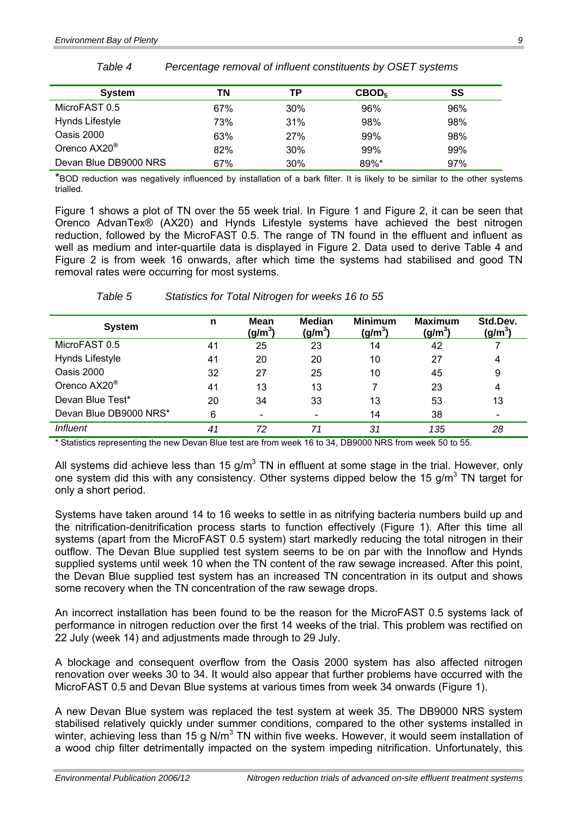| <b>System</b>            | ΤN  | ΤP  | CBOD <sub>5</sub> | SS  |
|--------------------------|-----|-----|-------------------|-----|
| MicroFAST 0.5            | 67% | 30% | 96%               | 96% |
| Hynds Lifestyle          | 73% | 31% | 98%               | 98% |
| Oasis 2000               | 63% | 27% | 99%               | 98% |
| Orenco AX20 <sup>®</sup> | 82% | 30% | 99%               | 99% |
| Devan Blue DB9000 NRS    | 67% | 30% | $89\%$ *          | 97% |

*Table 4 Percentage removal of influent constituents by OSET systems* 

\*BOD reduction was negatively influenced by installation of a bark filter. It is likely to be similar to the other systems trialled.

Figure 1 shows a plot of TN over the 55 week trial. In Figure 1 and Figure 2, it can be seen that Orenco AdvanTex® (AX20) and Hynds Lifestyle systems have achieved the best nitrogen reduction, followed by the MicroFAST 0.5. The range of TN found in the effluent and influent as well as medium and inter-quartile data is displayed in Figure 2. Data used to derive Table 4 and Figure 2 is from week 16 onwards, after which time the systems had stabilised and good TN removal rates were occurring for most systems.

| <b>System</b>            | n  | Mean<br>(g/m <sup>3</sup> ) | <b>Median</b><br>(g/m <sup>3</sup> ) | <b>Minimum</b><br>$(g/m^3)$ | <b>Maximum</b><br>(g/m <sup>3</sup> ) | Std.Dev.<br>$(g/m^3)$ |
|--------------------------|----|-----------------------------|--------------------------------------|-----------------------------|---------------------------------------|-----------------------|
| MicroFAST 0.5            | 41 | 25                          | 23                                   | 14                          | 42                                    |                       |
| Hynds Lifestyle          | 41 | 20                          | 20                                   | 10                          | 27                                    | 4                     |
| Oasis 2000               | 32 | 27                          | 25                                   | 10                          | 45                                    | 9                     |
| Orenco AX20 <sup>®</sup> | 41 | 13                          | 13                                   |                             | 23                                    | 4                     |
| Devan Blue Test*         | 20 | 34                          | 33                                   | 13                          | 53                                    | 13                    |
| Devan Blue DB9000 NRS*   | 6  |                             |                                      | 14                          | 38                                    |                       |
| <i>Influent</i>          | 41 | 72                          | 71                                   | 31                          | 135                                   | 28                    |

*Table 5 Statistics for Total Nitrogen for weeks 16 to 55* 

\* Statistics representing the new Devan Blue test are from week 16 to 34, DB9000 NRS from week 50 to 55.

All systems did achieve less than 15 g/m<sup>3</sup> TN in effluent at some stage in the trial. However, only one system did this with any consistency. Other systems dipped below the 15 g/m<sup>3</sup> TN target for only a short period.

Systems have taken around 14 to 16 weeks to settle in as nitrifying bacteria numbers build up and the nitrification-denitrification process starts to function effectively (Figure 1). After this time all systems (apart from the MicroFAST 0.5 system) start markedly reducing the total nitrogen in their outflow. The Devan Blue supplied test system seems to be on par with the Innoflow and Hynds supplied systems until week 10 when the TN content of the raw sewage increased. After this point, the Devan Blue supplied test system has an increased TN concentration in its output and shows some recovery when the TN concentration of the raw sewage drops.

An incorrect installation has been found to be the reason for the MicroFAST 0.5 systems lack of performance in nitrogen reduction over the first 14 weeks of the trial. This problem was rectified on 22 July (week 14) and adjustments made through to 29 July.

A blockage and consequent overflow from the Oasis 2000 system has also affected nitrogen renovation over weeks 30 to 34. It would also appear that further problems have occurred with the MicroFAST 0.5 and Devan Blue systems at various times from week 34 onwards (Figure 1).

A new Devan Blue system was replaced the test system at week 35. The DB9000 NRS system stabilised relatively quickly under summer conditions, compared to the other systems installed in winter, achieving less than 15 g N/m<sup>3</sup> TN within five weeks. However, it would seem installation of a wood chip filter detrimentally impacted on the system impeding nitrification. Unfortunately, this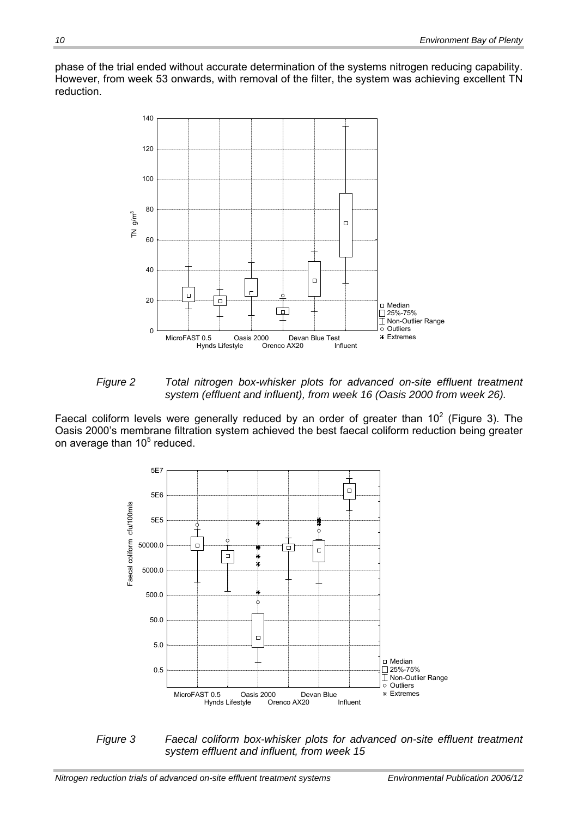phase of the trial ended without accurate determination of the systems nitrogen reducing capability. However, from week 53 onwards, with removal of the filter, the system was achieving excellent TN reduction.



*Figure 2 Total nitrogen box-whisker plots for advanced on-site effluent treatment system (effluent and influent), from week 16 (Oasis 2000 from week 26).* 

Faecal coliform levels were generally reduced by an order of greater than  $10^2$  (Figure 3). The Oasis 2000's membrane filtration system achieved the best faecal coliform reduction being greater on average than 10 $<sup>5</sup>$  reduced.</sup>



*Figure 3 Faecal coliform box-whisker plots for advanced on-site effluent treatment system effluent and influent, from week 15*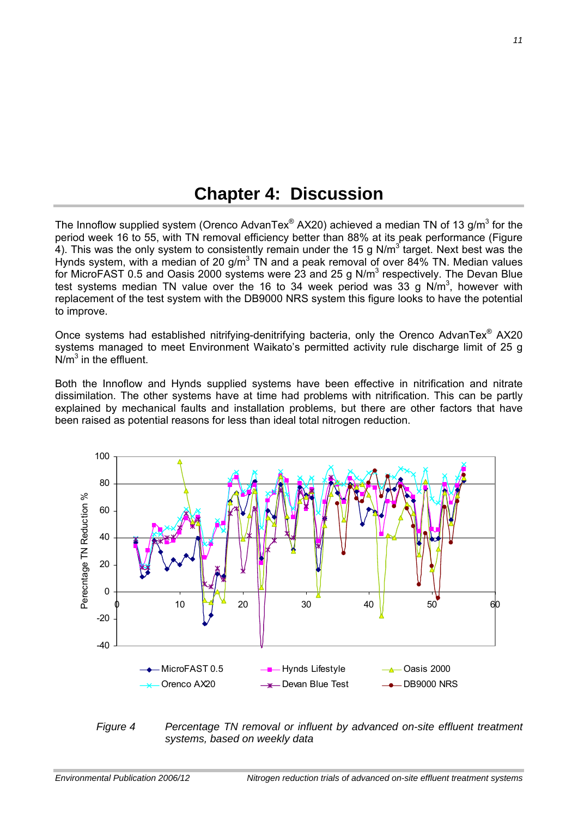### **Chapter 4: Discussion**

<span id="page-17-0"></span>The Innoflow supplied system (Orenco AdvanTex® AX20) achieved a median TN of 13 g/m<sup>3</sup> for the period week 16 to 55, with TN removal efficiency better than 88% at its peak performance (Figure 4). This was the only system to consistently remain under the 15 g N/m<sup>3</sup> target. Next best was the Hynds system, with a median of 20 g/m<sup>3</sup> TN and a peak removal of over 84% TN. Median values for MicroFAST 0.5 and Oasis 2000 systems were 23 and 25 g N/m<sup>3</sup> respectively. The Devan Blue test systems median TN value over the 16 to 34 week period was 33 g N/m<sup>3</sup>, however with replacement of the test system with the DB9000 NRS system this figure looks to have the potential to improve.

Once systems had established nitrifying-denitrifying bacteria, only the Orenco AdvanTex® AX20 systems managed to meet Environment Waikato's permitted activity rule discharge limit of 25 g  $N/m<sup>3</sup>$  in the effluent.

Both the Innoflow and Hynds supplied systems have been effective in nitrification and nitrate dissimilation. The other systems have at time had problems with nitrification. This can be partly explained by mechanical faults and installation problems, but there are other factors that have been raised as potential reasons for less than ideal total nitrogen reduction.



*Figure 4 Percentage TN removal or influent by advanced on-site effluent treatment systems, based on weekly data*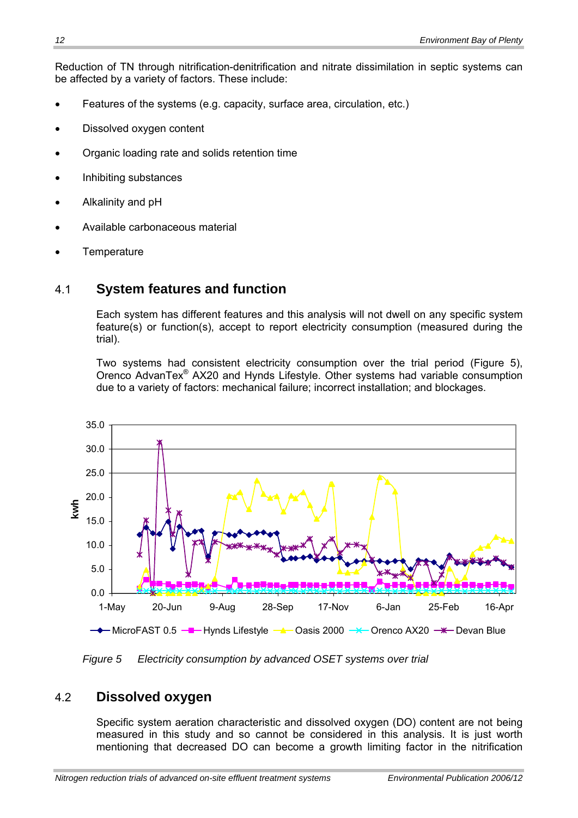<span id="page-18-0"></span>Reduction of TN through nitrification-denitrification and nitrate dissimilation in septic systems can be affected by a variety of factors. These include:

- Features of the systems (e.g. capacity, surface area, circulation, etc.)
- Dissolved oxygen content
- Organic loading rate and solids retention time
- Inhibiting substances
- Alkalinity and pH
- Available carbonaceous material
- **Temperature**

### 4.1 **System features and function**

Each system has different features and this analysis will not dwell on any specific system feature(s) or function(s), accept to report electricity consumption (measured during the trial).

Two systems had consistent electricity consumption over the trial period (Figure 5), Orenco AdvanTex® AX20 and Hynds Lifestyle. Other systems had variable consumption due to a variety of factors: mechanical failure; incorrect installation; and blockages.



*Figure 5 Electricity consumption by advanced OSET systems over trial*

### 4.2 **Dissolved oxygen**

Specific system aeration characteristic and dissolved oxygen (DO) content are not being measured in this study and so cannot be considered in this analysis. It is just worth mentioning that decreased DO can become a growth limiting factor in the nitrification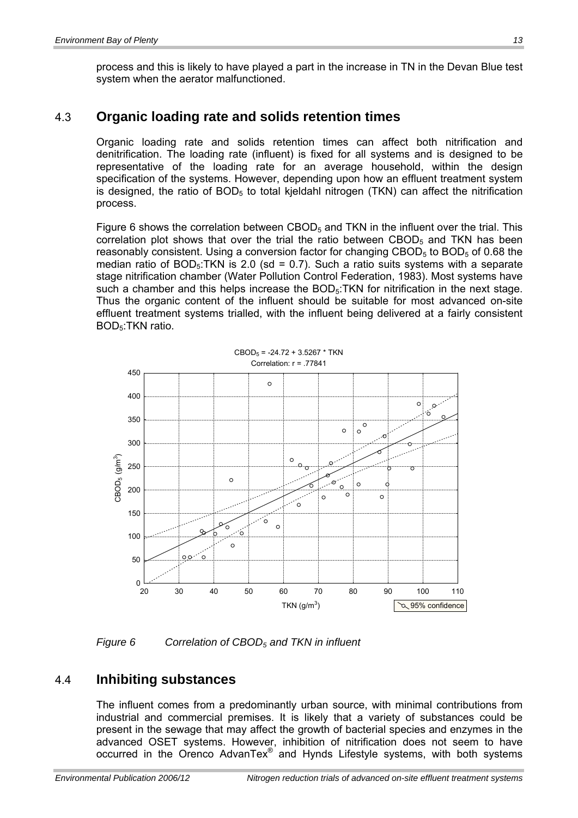<span id="page-19-0"></span>process and this is likely to have played a part in the increase in TN in the Devan Blue test system when the aerator malfunctioned.

#### 4.3 **Organic loading rate and solids retention times**

Organic loading rate and solids retention times can affect both nitrification and denitrification. The loading rate (influent) is fixed for all systems and is designed to be representative of the loading rate for an average household, within the design specification of the systems. However, depending upon how an effluent treatment system is designed, the ratio of  $BOD<sub>5</sub>$  to total kjeldahl nitrogen (TKN) can affect the nitrification process.

Figure 6 shows the correlation between  $CBOD<sub>5</sub>$  and TKN in the influent over the trial. This correlation plot shows that over the trial the ratio between CBOD<sub>5</sub> and TKN has been reasonably consistent. Using a conversion factor for changing  $CBOD<sub>5</sub>$  to  $BOD<sub>5</sub>$  of 0.68 the median ratio of  $BOD<sub>5</sub>$ :TKN is 2.0 (sd = 0.7). Such a ratio suits systems with a separate stage nitrification chamber (Water Pollution Control Federation, 1983). Most systems have such a chamber and this helps increase the  $BOD<sub>5</sub>$ : TKN for nitrification in the next stage. Thus the organic content of the influent should be suitable for most advanced on-site effluent treatment systems trialled, with the influent being delivered at a fairly consistent BOD5:TKN ratio.



 $CBOD_5 = -24.72 + 3.5267 * TKN$ 

*Figure 6 Correlation of CBOD5 and TKN in influent* 

#### 4.4 **Inhibiting substances**

The influent comes from a predominantly urban source, with minimal contributions from industrial and commercial premises. It is likely that a variety of substances could be present in the sewage that may affect the growth of bacterial species and enzymes in the advanced OSET systems. However, inhibition of nitrification does not seem to have occurred in the Orenco AdvanTex® and Hynds Lifestyle systems, with both systems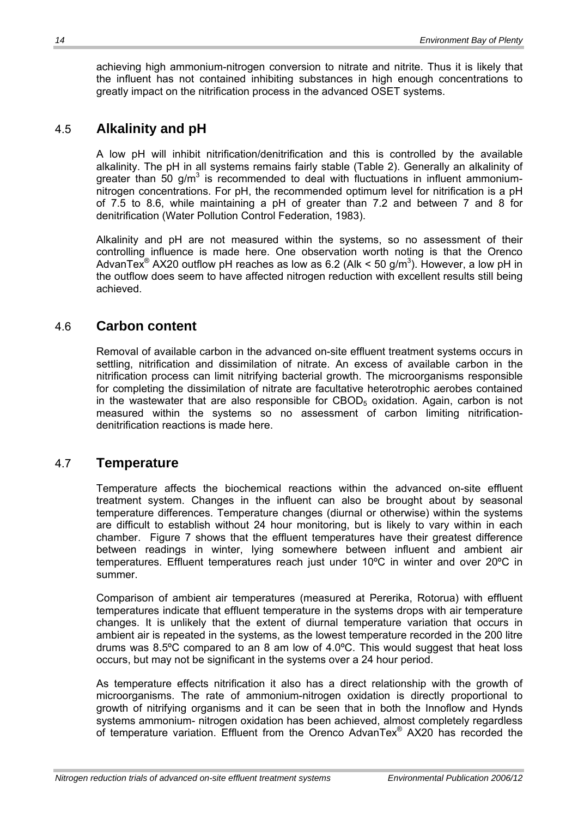<span id="page-20-0"></span>achieving high ammonium-nitrogen conversion to nitrate and nitrite. Thus it is likely that the influent has not contained inhibiting substances in high enough concentrations to greatly impact on the nitrification process in the advanced OSET systems.

#### 4.5 **Alkalinity and pH**

A low pH will inhibit nitrification/denitrification and this is controlled by the available alkalinity. The pH in all systems remains fairly stable (Table 2). Generally an alkalinity of greater than 50 g/m<sup>3</sup> is recommended to deal with fluctuations in influent ammoniumnitrogen concentrations. For pH, the recommended optimum level for nitrification is a pH of 7.5 to 8.6, while maintaining a pH of greater than 7.2 and between 7 and 8 for denitrification (Water Pollution Control Federation, 1983).

Alkalinity and pH are not measured within the systems, so no assessment of their controlling influence is made here. One observation worth noting is that the Orenco AdvanTex<sup>®</sup> AX20 outflow pH reaches as low as 6.2 (Alk < 50 g/m<sup>3</sup>). However, a low pH in the outflow does seem to have affected nitrogen reduction with excellent results still being achieved.

#### 4.6 **Carbon content**

Removal of available carbon in the advanced on-site effluent treatment systems occurs in settling, nitrification and dissimilation of nitrate. An excess of available carbon in the nitrification process can limit nitrifying bacterial growth. The microorganisms responsible for completing the dissimilation of nitrate are facultative heterotrophic aerobes contained in the wastewater that are also responsible for  $CBOD<sub>5</sub>$  oxidation. Again, carbon is not measured within the systems so no assessment of carbon limiting nitrificationdenitrification reactions is made here.

### 4.7 **Temperature**

Temperature affects the biochemical reactions within the advanced on-site effluent treatment system. Changes in the influent can also be brought about by seasonal temperature differences. Temperature changes (diurnal or otherwise) within the systems are difficult to establish without 24 hour monitoring, but is likely to vary within in each chamber. Figure 7 shows that the effluent temperatures have their greatest difference between readings in winter, lying somewhere between influent and ambient air temperatures. Effluent temperatures reach just under 10ºC in winter and over 20ºC in summer.

Comparison of ambient air temperatures (measured at Pererika, Rotorua) with effluent temperatures indicate that effluent temperature in the systems drops with air temperature changes. It is unlikely that the extent of diurnal temperature variation that occurs in ambient air is repeated in the systems, as the lowest temperature recorded in the 200 litre drums was 8.5ºC compared to an 8 am low of 4.0ºC. This would suggest that heat loss occurs, but may not be significant in the systems over a 24 hour period.

As temperature effects nitrification it also has a direct relationship with the growth of microorganisms. The rate of ammonium-nitrogen oxidation is directly proportional to growth of nitrifying organisms and it can be seen that in both the Innoflow and Hynds systems ammonium- nitrogen oxidation has been achieved, almost completely regardless of temperature variation. Effluent from the Orenco AdvanTex® AX20 has recorded the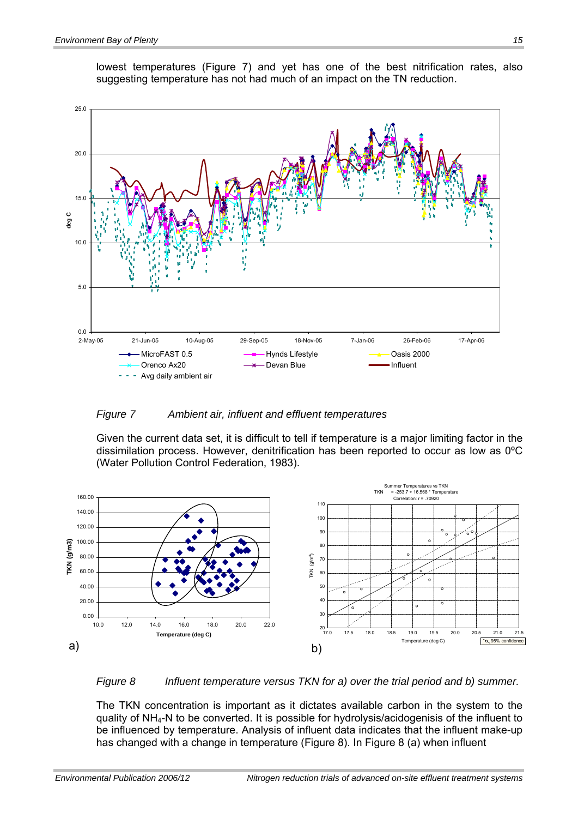

lowest temperatures (Figure 7) and yet has one of the best nitrification rates, also suggesting temperature has not had much of an impact on the TN reduction.

#### *Figure 7 Ambient air, influent and effluent temperatures*

Given the current data set, it is difficult to tell if temperature is a major limiting factor in the dissimilation process. However, denitrification has been reported to occur as low as 0ºC (Water Pollution Control Federation, 1983).





The TKN concentration is important as it dictates available carbon in the system to the quality of NH4-N to be converted. It is possible for hydrolysis/acidogenisis of the influent to be influenced by temperature. Analysis of influent data indicates that the influent make-up has changed with a change in temperature (Figure 8). In Figure 8 (a) when influent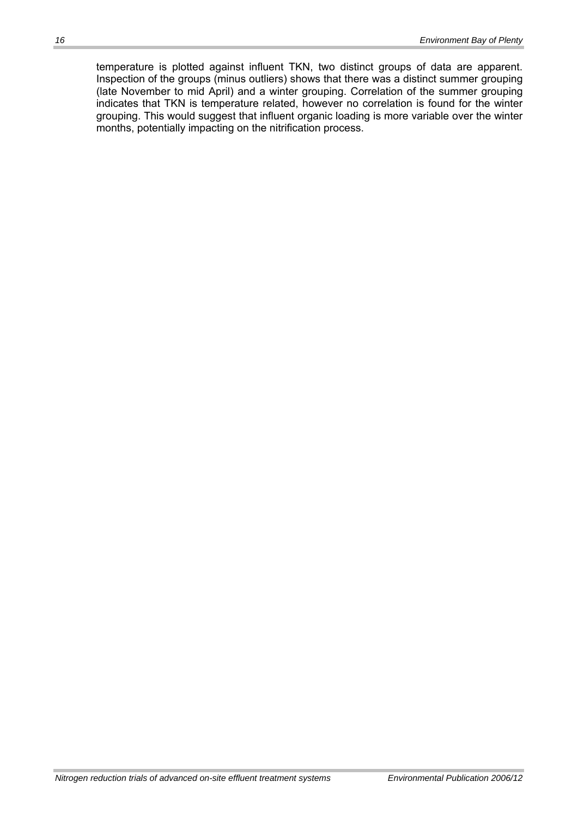temperature is plotted against influent TKN, two distinct groups of data are apparent. Inspection of the groups (minus outliers) shows that there was a distinct summer grouping (late November to mid April) and a winter grouping. Correlation of the summer grouping indicates that TKN is temperature related, however no correlation is found for the winter grouping. This would suggest that influent organic loading is more variable over the winter months, potentially impacting on the nitrification process.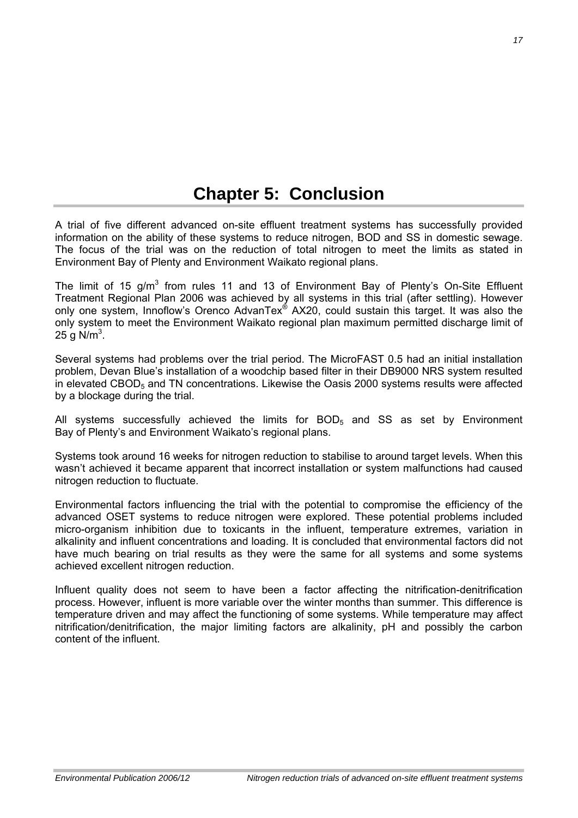## **Chapter 5: Conclusion**

A trial of five different advanced on-site effluent treatment systems has successfully provided information on the ability of these systems to reduce nitrogen, BOD and SS in domestic sewage. The focus of the trial was on the reduction of total nitrogen to meet the limits as stated in Environment Bay of Plenty and Environment Waikato regional plans.

The limit of 15 g/m<sup>3</sup> from rules 11 and 13 of Environment Bay of Plenty's On-Site Effluent Treatment Regional Plan 2006 was achieved by all systems in this trial (after settling). However only one system, Innoflow's Orenco AdvanTex<sup>®</sup> AX20, could sustain this target. It was also the only system to meet the Environment Waikato regional plan maximum permitted discharge limit of 25 g N/m<sup>3</sup>.

Several systems had problems over the trial period. The MicroFAST 0.5 had an initial installation problem, Devan Blue's installation of a woodchip based filter in their DB9000 NRS system resulted in elevated CBOD $<sub>5</sub>$  and TN concentrations. Likewise the Oasis 2000 systems results were affected</sub> by a blockage during the trial.

All systems successfully achieved the limits for  $BOD<sub>5</sub>$  and SS as set by Environment Bay of Plenty's and Environment Waikato's regional plans.

Systems took around 16 weeks for nitrogen reduction to stabilise to around target levels. When this wasn't achieved it became apparent that incorrect installation or system malfunctions had caused nitrogen reduction to fluctuate.

Environmental factors influencing the trial with the potential to compromise the efficiency of the advanced OSET systems to reduce nitrogen were explored. These potential problems included micro-organism inhibition due to toxicants in the influent, temperature extremes, variation in alkalinity and influent concentrations and loading. It is concluded that environmental factors did not have much bearing on trial results as they were the same for all systems and some systems achieved excellent nitrogen reduction.

Influent quality does not seem to have been a factor affecting the nitrification-denitrification process. However, influent is more variable over the winter months than summer. This difference is temperature driven and may affect the functioning of some systems. While temperature may affect nitrification/denitrification, the major limiting factors are alkalinity, pH and possibly the carbon content of the influent.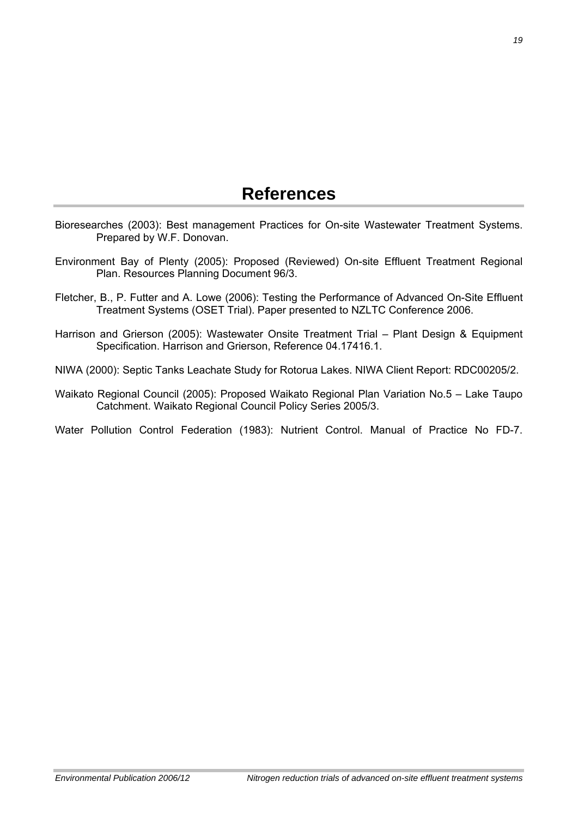### **References**

- <span id="page-25-0"></span>Bioresearches (2003): Best management Practices for On-site Wastewater Treatment Systems. Prepared by W.F. Donovan.
- Environment Bay of Plenty (2005): Proposed (Reviewed) On-site Effluent Treatment Regional Plan. Resources Planning Document 96/3.
- Fletcher, B., P. Futter and A. Lowe (2006): Testing the Performance of Advanced On-Site Effluent Treatment Systems (OSET Trial). Paper presented to NZLTC Conference 2006.
- Harrison and Grierson (2005): Wastewater Onsite Treatment Trial Plant Design & Equipment Specification. Harrison and Grierson, Reference 04.17416.1.
- NIWA (2000): Septic Tanks Leachate Study for Rotorua Lakes. NIWA Client Report: RDC00205/2.
- Waikato Regional Council (2005): Proposed Waikato Regional Plan Variation No.5 Lake Taupo Catchment. Waikato Regional Council Policy Series 2005/3.
- Water Pollution Control Federation (1983): Nutrient Control. Manual of Practice No FD-7.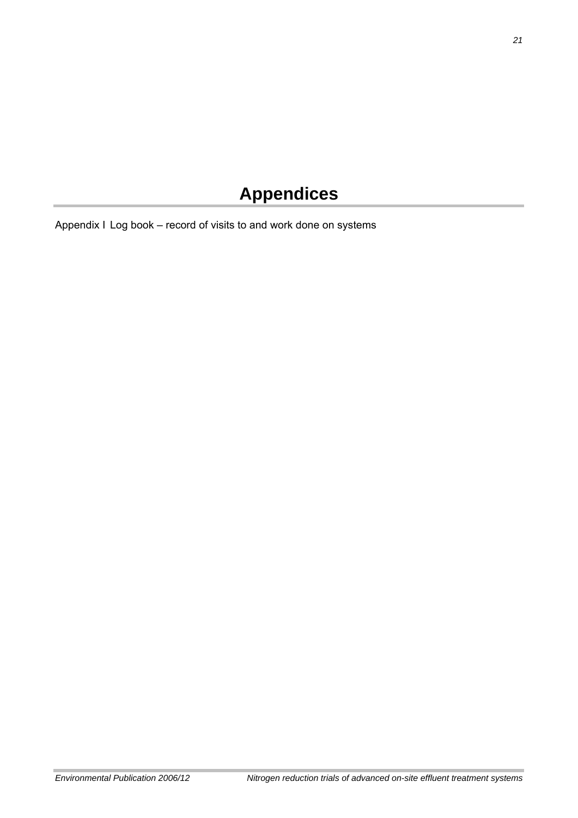# **Appendices**

Appendix I Log book – record of visits to and work done on systems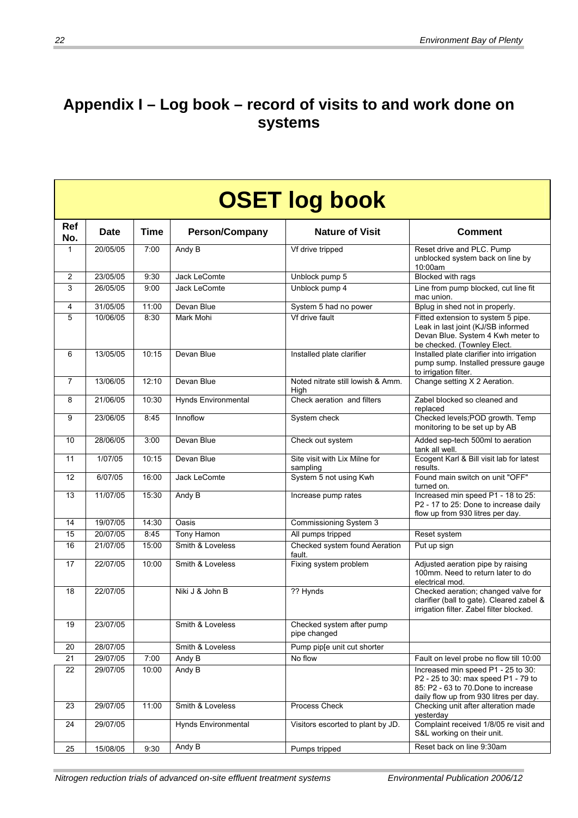### **Appendix I – Log book – record of visits to and work done on systems**

|                   | <b>OSET log book</b> |             |                            |                                           |                                                                                                                                                           |  |  |  |  |
|-------------------|----------------------|-------------|----------------------------|-------------------------------------------|-----------------------------------------------------------------------------------------------------------------------------------------------------------|--|--|--|--|
| <b>Ref</b><br>No. | <b>Date</b>          | <b>Time</b> | <b>Person/Company</b>      | <b>Nature of Visit</b>                    | <b>Comment</b>                                                                                                                                            |  |  |  |  |
| $\mathbf{1}$      | 20/05/05             | 7:00        | Andy B                     | Vf drive tripped                          | Reset drive and PLC. Pump<br>unblocked system back on line by<br>10:00am                                                                                  |  |  |  |  |
| 2                 | 23/05/05             | 9:30        | Jack LeComte               | Unblock pump 5                            | <b>Blocked with rags</b>                                                                                                                                  |  |  |  |  |
| 3                 | 26/05/05             | 9:00        | Jack LeComte               | Unblock pump 4                            | Line from pump blocked, cut line fit<br>mac union.                                                                                                        |  |  |  |  |
| 4                 | 31/05/05             | 11:00       | Devan Blue                 | System 5 had no power                     | Bplug in shed not in properly.                                                                                                                            |  |  |  |  |
| 5                 | 10/06/05             | 8:30        | Mark Mohi                  | Vf drive fault                            | Fitted extension to system 5 pipe.<br>Leak in last joint (KJ/SB informed<br>Devan Blue. System 4 Kwh meter to<br>be checked. (Townley Elect.              |  |  |  |  |
| 6                 | 13/05/05             | 10:15       | Devan Blue                 | Installed plate clarifier                 | Installed plate clarifier into irrigation<br>pump sump. Installed pressure gauge<br>to irrigation filter.                                                 |  |  |  |  |
| $\overline{7}$    | 13/06/05             | 12:10       | Devan Blue                 | Noted nitrate still lowish & Amm.<br>High | Change setting X 2 Aeration.                                                                                                                              |  |  |  |  |
| 8                 | 21/06/05             | 10:30       | <b>Hynds Environmental</b> | Check aeration and filters                | Zabel blocked so cleaned and<br>replaced                                                                                                                  |  |  |  |  |
| 9                 | 23/06/05             | 8:45        | Innoflow                   | System check                              | Checked levels; POD growth. Temp<br>monitoring to be set up by AB                                                                                         |  |  |  |  |
| 10                | 28/06/05             | 3:00        | Devan Blue                 | Check out system                          | Added sep-tech 500ml to aeration<br>tank all well.                                                                                                        |  |  |  |  |
| 11                | 1/07/05              | 10:15       | Devan Blue                 | Site visit with Lix Milne for<br>sampling | Ecogent Karl & Bill visit lab for latest<br>results.                                                                                                      |  |  |  |  |
| 12                | 6/07/05              | 16:00       | Jack LeComte               | System 5 not using Kwh                    | Found main switch on unit "OFF"<br>turned on.                                                                                                             |  |  |  |  |
| 13                | 11/07/05             | 15:30       | Andy B                     | Increase pump rates                       | Increased min speed P1 - 18 to 25:<br>P2 - 17 to 25: Done to increase daily<br>flow up from 930 litres per day.                                           |  |  |  |  |
| 14                | 19/07/05             | 14:30       | Oasis                      | Commissioning System 3                    |                                                                                                                                                           |  |  |  |  |
| 15                | 20/07/05             | 8:45        | Tony Hamon                 | All pumps tripped                         | Reset system                                                                                                                                              |  |  |  |  |
| 16                | 21/07/05             | 15:00       | Smith & Loveless           | Checked system found Aeration<br>fault.   | Put up sign                                                                                                                                               |  |  |  |  |
| 17                | 22/07/05             | 10:00       | Smith & Loveless           | Fixing system problem                     | Adjusted aeration pipe by raising<br>100mm. Need to return later to do<br>electrical mod.                                                                 |  |  |  |  |
| 18                | 22/07/05             |             | Niki J & John B            | ?? Hynds                                  | Checked aeration; changed valve for<br>clarifier (ball to gate). Cleared zabel &<br>irrigation filter. Zabel filter blocked.                              |  |  |  |  |
| 19                | 23/07/05             |             | Smith & Loveless           | Checked system after pump<br>pipe changed |                                                                                                                                                           |  |  |  |  |
| 20                | 28/07/05             |             | Smith & Loveless           | Pump pip[e unit cut shorter               |                                                                                                                                                           |  |  |  |  |
| 21                | 29/07/05             | 7:00        | Andy B                     | No flow                                   | Fault on level probe no flow till 10:00                                                                                                                   |  |  |  |  |
| 22                | 29/07/05             | 10:00       | Andy B                     |                                           | Increased min speed P1 - 25 to 30:<br>P2 - 25 to 30: max speed P1 - 79 to<br>85: P2 - 63 to 70 Done to increase<br>daily flow up from 930 litres per day. |  |  |  |  |
| 23                | 29/07/05             | 11:00       | Smith & Loveless           | <b>Process Check</b>                      | Checking unit after alteration made<br>vesterday                                                                                                          |  |  |  |  |
| 24                | 29/07/05             |             | <b>Hynds Environmental</b> | Visitors escorted to plant by JD.         | Complaint received 1/8/05 re visit and<br>S&L working on their unit.                                                                                      |  |  |  |  |
| 25                | 15/08/05             | 9:30        | Andy B                     | Pumps tripped                             | Reset back on line 9:30am                                                                                                                                 |  |  |  |  |